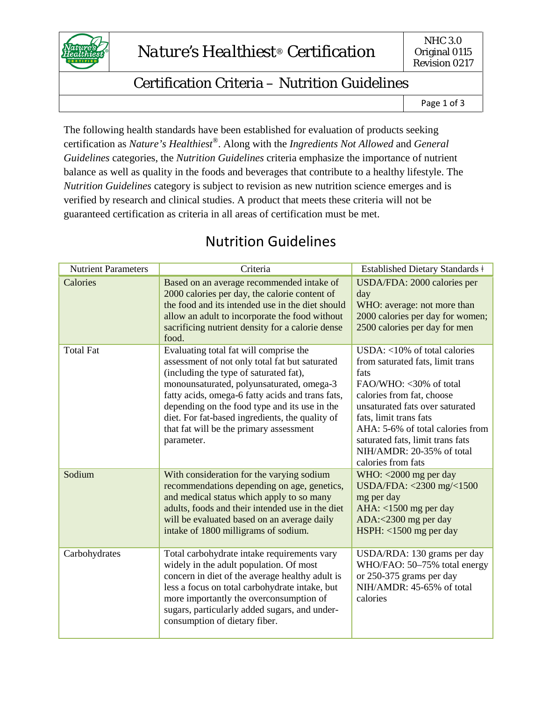

## Certification Criteria – Nutrition Guidelines

Page 1 of 3

The following health standards have been established for evaluation of products seeking certification as *Nature's Healthiest®*. Along with the *Ingredients Not Allowed* and *General Guidelines* categories, the *Nutrition Guidelines* criteria emphasize the importance of nutrient balance as well as quality in the foods and beverages that contribute to a healthy lifestyle. The *Nutrition Guidelines* category is subject to revision as new nutrition science emerges and is verified by research and clinical studies. A product that meets these criteria will not be guaranteed certification as criteria in all areas of certification must be met.

| <b>Nutrient Parameters</b> | Criteria                                                                                                                                                                                                                                                                                                                                                                                         | Established Dietary Standards ‡                                                                                                                                                                                                                                                                                         |
|----------------------------|--------------------------------------------------------------------------------------------------------------------------------------------------------------------------------------------------------------------------------------------------------------------------------------------------------------------------------------------------------------------------------------------------|-------------------------------------------------------------------------------------------------------------------------------------------------------------------------------------------------------------------------------------------------------------------------------------------------------------------------|
| Calories                   | Based on an average recommended intake of<br>2000 calories per day, the calorie content of<br>the food and its intended use in the diet should<br>allow an adult to incorporate the food without<br>sacrificing nutrient density for a calorie dense<br>food.                                                                                                                                    | USDA/FDA: 2000 calories per<br>day<br>WHO: average: not more than<br>2000 calories per day for women;<br>2500 calories per day for men                                                                                                                                                                                  |
| <b>Total Fat</b>           | Evaluating total fat will comprise the<br>assessment of not only total fat but saturated<br>(including the type of saturated fat),<br>monounsaturated, polyunsaturated, omega-3<br>fatty acids, omega-6 fatty acids and trans fats,<br>depending on the food type and its use in the<br>diet. For fat-based ingredients, the quality of<br>that fat will be the primary assessment<br>parameter. | USDA: <10% of total calories<br>from saturated fats, limit trans<br>fats<br>FAO/WHO: <30% of total<br>calories from fat, choose<br>unsaturated fats over saturated<br>fats, limit trans fats<br>AHA: 5-6% of total calories from<br>saturated fats, limit trans fats<br>NIH/AMDR: 20-35% of total<br>calories from fats |
| Sodium                     | With consideration for the varying sodium<br>recommendations depending on age, genetics,<br>and medical status which apply to so many<br>adults, foods and their intended use in the diet<br>will be evaluated based on an average daily<br>intake of 1800 milligrams of sodium.                                                                                                                 | WHO: $<$ 2000 mg per day<br>USDA/FDA: <2300 mg/<1500<br>mg per day<br>AHA: $<$ 1500 mg per day<br>ADA:<2300 mg per day<br>$HSPH: < 1500$ mg per day                                                                                                                                                                     |
| Carbohydrates              | Total carbohydrate intake requirements vary<br>widely in the adult population. Of most<br>concern in diet of the average healthy adult is<br>less a focus on total carbohydrate intake, but<br>more importantly the overconsumption of<br>sugars, particularly added sugars, and under-<br>consumption of dietary fiber.                                                                         | USDA/RDA: 130 grams per day<br>WHO/FAO: 50-75% total energy<br>or 250-375 grams per day<br>NIH/AMDR: 45-65% of total<br>calories                                                                                                                                                                                        |

## Nutrition Guidelines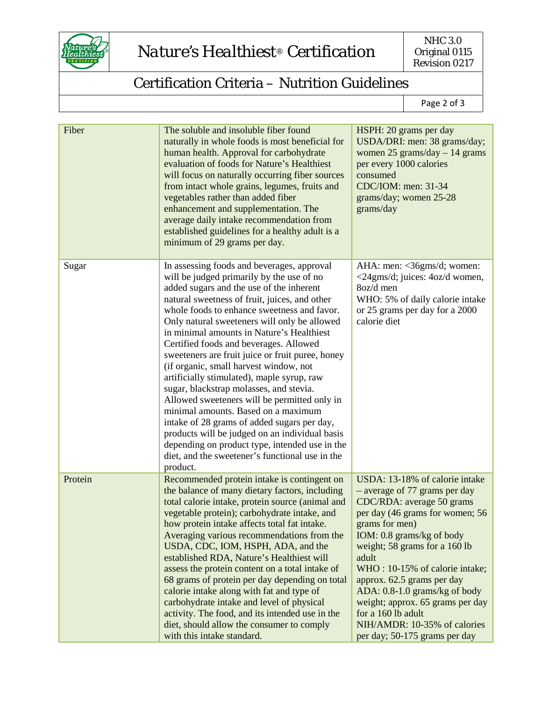

## Certification Criteria – Nutrition Guidelines

Page 2 of 3

| Fiber   | The soluble and insoluble fiber found<br>naturally in whole foods is most beneficial for<br>human health. Approval for carbohydrate<br>evaluation of foods for Nature's Healthiest<br>will focus on naturally occurring fiber sources<br>from intact whole grains, legumes, fruits and<br>vegetables rather than added fiber<br>enhancement and supplementation. The<br>average daily intake recommendation from<br>established guidelines for a healthy adult is a<br>minimum of 29 grams per day.                                                                                                                                                                                                                                                                                                                                                                        | HSPH: 20 grams per day<br>USDA/DRI: men: 38 grams/day;<br>women 25 grams/day $-14$ grams<br>per every 1000 calories<br>consumed<br>CDC/IOM: men: 31-34<br>grams/day; women 25-28<br>grams/day                                                                                                                                                                                                                                                        |
|---------|----------------------------------------------------------------------------------------------------------------------------------------------------------------------------------------------------------------------------------------------------------------------------------------------------------------------------------------------------------------------------------------------------------------------------------------------------------------------------------------------------------------------------------------------------------------------------------------------------------------------------------------------------------------------------------------------------------------------------------------------------------------------------------------------------------------------------------------------------------------------------|------------------------------------------------------------------------------------------------------------------------------------------------------------------------------------------------------------------------------------------------------------------------------------------------------------------------------------------------------------------------------------------------------------------------------------------------------|
| Sugar   | In assessing foods and beverages, approval<br>will be judged primarily by the use of no<br>added sugars and the use of the inherent<br>natural sweetness of fruit, juices, and other<br>whole foods to enhance sweetness and favor.<br>Only natural sweeteners will only be allowed<br>in minimal amounts in Nature's Healthiest<br>Certified foods and beverages. Allowed<br>sweeteners are fruit juice or fruit puree, honey<br>(if organic, small harvest window, not<br>artificially stimulated), maple syrup, raw<br>sugar, blackstrap molasses, and stevia.<br>Allowed sweeteners will be permitted only in<br>minimal amounts. Based on a maximum<br>intake of 28 grams of added sugars per day,<br>products will be judged on an individual basis<br>depending on product type, intended use in the<br>diet, and the sweetener's functional use in the<br>product. | AHA: men: <36gms/d; women:<br><24gms/d; juices: 4oz/d women,<br>8oz/d men<br>WHO: 5% of daily calorie intake<br>or 25 grams per day for a 2000<br>calorie diet                                                                                                                                                                                                                                                                                       |
| Protein | Recommended protein intake is contingent on<br>the balance of many dietary factors, including<br>total calorie intake, protein source (animal and<br>vegetable protein); carbohydrate intake, and<br>how protein intake affects total fat intake.<br>Averaging various recommendations from the<br>USDA, CDC, IOM, HSPH, ADA, and the<br>established RDA, Nature's Healthiest will<br>assess the protein content on a total intake of<br>68 grams of protein per day depending on total<br>calorie intake along with fat and type of<br>carbohydrate intake and level of physical<br>activity. The food, and its intended use in the<br>diet, should allow the consumer to comply<br>with this intake standard.                                                                                                                                                            | USDA: 13-18% of calorie intake<br>- average of 77 grams per day<br>CDC/RDA: average 50 grams<br>per day (46 grams for women; 56<br>grams for men)<br>IOM: 0.8 grams/kg of body<br>weight; 58 grams for a 160 lb<br>adult<br>WHO: 10-15% of calorie intake;<br>approx. 62.5 grams per day<br>ADA: 0.8-1.0 grams/kg of body<br>weight; approx. 65 grams per day<br>for a 160 lb adult<br>NIH/AMDR: 10-35% of calories<br>per day; 50-175 grams per day |